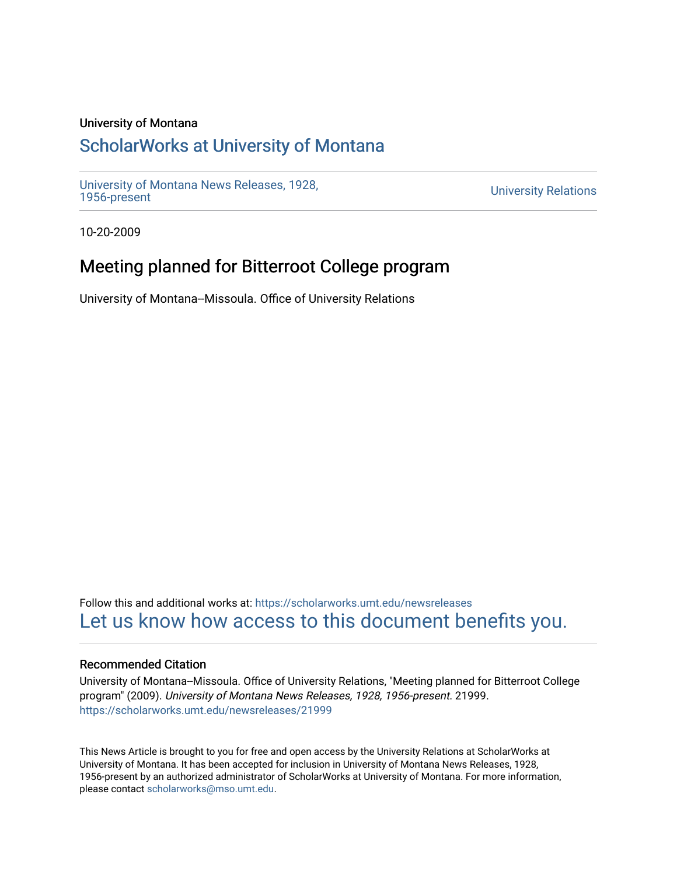### University of Montana

# [ScholarWorks at University of Montana](https://scholarworks.umt.edu/)

[University of Montana News Releases, 1928,](https://scholarworks.umt.edu/newsreleases) 

**University Relations** 

10-20-2009

## Meeting planned for Bitterroot College program

University of Montana--Missoula. Office of University Relations

Follow this and additional works at: [https://scholarworks.umt.edu/newsreleases](https://scholarworks.umt.edu/newsreleases?utm_source=scholarworks.umt.edu%2Fnewsreleases%2F21999&utm_medium=PDF&utm_campaign=PDFCoverPages) [Let us know how access to this document benefits you.](https://goo.gl/forms/s2rGfXOLzz71qgsB2) 

### Recommended Citation

University of Montana--Missoula. Office of University Relations, "Meeting planned for Bitterroot College program" (2009). University of Montana News Releases, 1928, 1956-present. 21999. [https://scholarworks.umt.edu/newsreleases/21999](https://scholarworks.umt.edu/newsreleases/21999?utm_source=scholarworks.umt.edu%2Fnewsreleases%2F21999&utm_medium=PDF&utm_campaign=PDFCoverPages) 

This News Article is brought to you for free and open access by the University Relations at ScholarWorks at University of Montana. It has been accepted for inclusion in University of Montana News Releases, 1928, 1956-present by an authorized administrator of ScholarWorks at University of Montana. For more information, please contact [scholarworks@mso.umt.edu.](mailto:scholarworks@mso.umt.edu)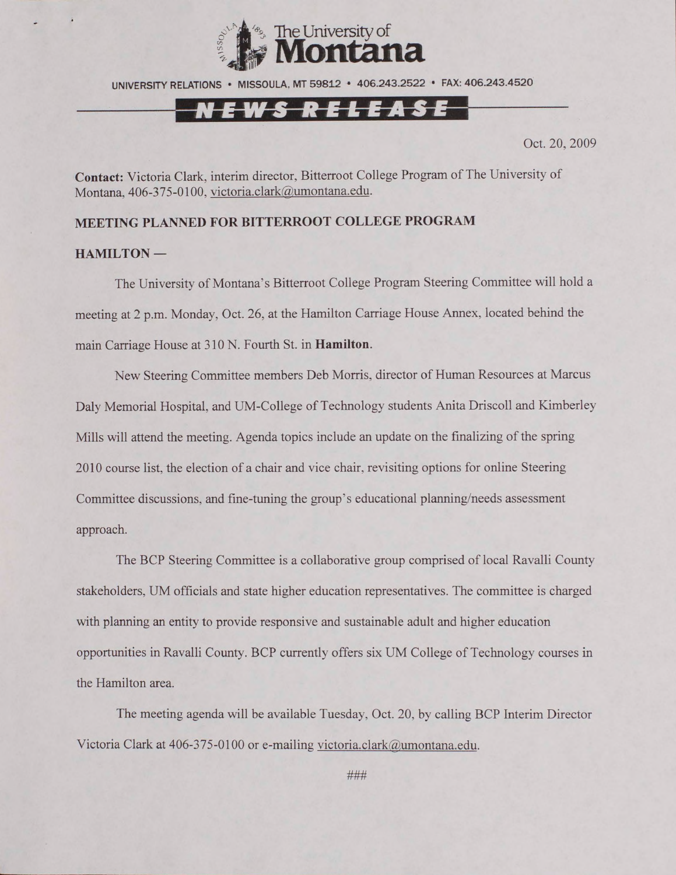

UNIVERSITY RELATIONS • MISSOULA. MT 59812 • 406.243.2522 • FAX: 406.243.4520

## NEWS RELEASE

Oct. 20, 2009

**Contact:** Victoria Clark, interim director, Bitterroot College Program of The University of Montana. 406-375-0100, victoria.clark@umontana.edu.

#### **MEETING PLANNED FOR BITTERROOT COLLEGE PROGRAM**

#### **HAMILTON —**

The University of Montana's Bitterroot College Program Steering Committee will hold a meeting at 2 p.m. Monday, Oct. 26, at the Hamilton Carriage House Annex, located behind the main Carriage House at 310 N. Fourth St. in **Hamilton.**

New Steering Committee members Deb Morris, director of Human Resources at Marcus Daly Memorial Hospital, and UM-College of Technology students Anita Driscoll and Kimberley Mills will attend the meeting. Agenda topics include an update on the finalizing of the spring 2010 course list, the election of a chair and vice chair, revisiting options for online Steering Committee discussions, and fine-tuning the group's educational planning/needs assessment approach.

The BCP Steering Committee is a collaborative group comprised of local Ravalli County stakeholders, UM officials and state higher education representatives. The committee is charged with planning an entity to provide responsive and sustainable adult and higher education opportunities in Ravalli County. BCP currently offers six UM College of Technology courses in the Hamilton area.

The meeting agenda will be available Tuesday, Oct. 20, by calling BCP Interim Director Victoria Clark at 406-375-0100 or e-mailing [victoria.clark@umontana.edu.](mailto:victoria.clark@umontana.edu)